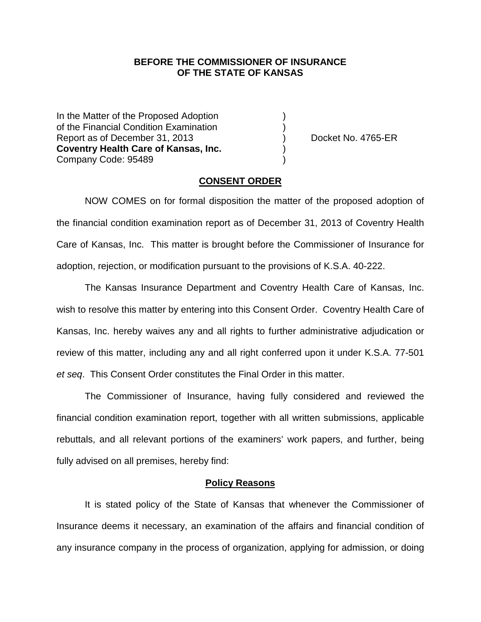### **BEFORE THE COMMISSIONER OF INSURANCE OF THE STATE OF KANSAS**

In the Matter of the Proposed Adoption of the Financial Condition Examination ) Report as of December 31, 2013 (and Separation Contract No. 4765-ER **Coventry Health Care of Kansas, Inc.** ) Company Code: 95489 )

### **CONSENT ORDER**

NOW COMES on for formal disposition the matter of the proposed adoption of the financial condition examination report as of December 31, 2013 of Coventry Health Care of Kansas, Inc. This matter is brought before the Commissioner of Insurance for adoption, rejection, or modification pursuant to the provisions of K.S.A. 40-222.

The Kansas Insurance Department and Coventry Health Care of Kansas, Inc. wish to resolve this matter by entering into this Consent Order. Coventry Health Care of Kansas, Inc. hereby waives any and all rights to further administrative adjudication or review of this matter, including any and all right conferred upon it under K.S.A. 77-501 *et seq*. This Consent Order constitutes the Final Order in this matter.

The Commissioner of Insurance, having fully considered and reviewed the financial condition examination report, together with all written submissions, applicable rebuttals, and all relevant portions of the examiners' work papers, and further, being fully advised on all premises, hereby find:

#### **Policy Reasons**

It is stated policy of the State of Kansas that whenever the Commissioner of Insurance deems it necessary, an examination of the affairs and financial condition of any insurance company in the process of organization, applying for admission, or doing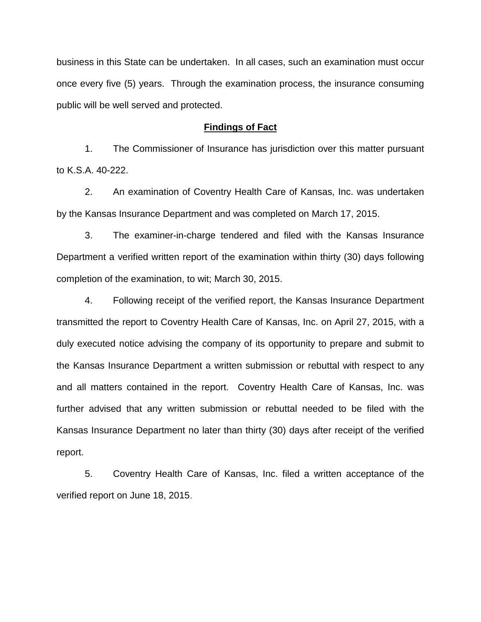business in this State can be undertaken. In all cases, such an examination must occur once every five (5) years. Through the examination process, the insurance consuming public will be well served and protected.

#### **Findings of Fact**

1. The Commissioner of Insurance has jurisdiction over this matter pursuant to K.S.A. 40-222.

2. An examination of Coventry Health Care of Kansas, Inc. was undertaken by the Kansas Insurance Department and was completed on March 17, 2015.

3. The examiner-in-charge tendered and filed with the Kansas Insurance Department a verified written report of the examination within thirty (30) days following completion of the examination, to wit; March 30, 2015.

4. Following receipt of the verified report, the Kansas Insurance Department transmitted the report to Coventry Health Care of Kansas, Inc. on April 27, 2015, with a duly executed notice advising the company of its opportunity to prepare and submit to the Kansas Insurance Department a written submission or rebuttal with respect to any and all matters contained in the report. Coventry Health Care of Kansas, Inc. was further advised that any written submission or rebuttal needed to be filed with the Kansas Insurance Department no later than thirty (30) days after receipt of the verified report.

5. Coventry Health Care of Kansas, Inc. filed a written acceptance of the verified report on June 18, 2015.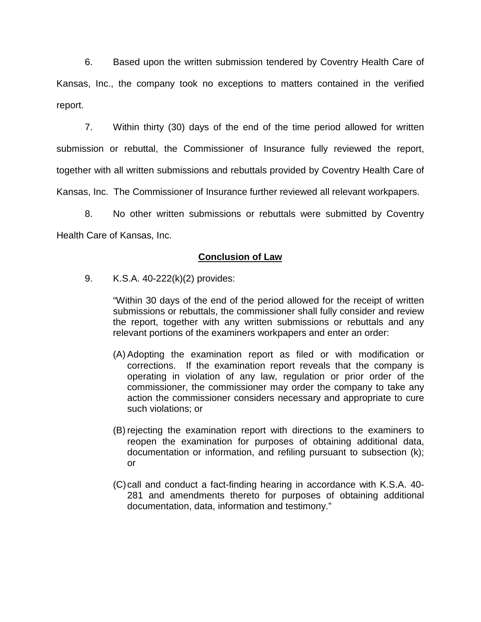6. Based upon the written submission tendered by Coventry Health Care of Kansas, Inc., the company took no exceptions to matters contained in the verified report.

7. Within thirty (30) days of the end of the time period allowed for written submission or rebuttal, the Commissioner of Insurance fully reviewed the report, together with all written submissions and rebuttals provided by Coventry Health Care of Kansas, Inc. The Commissioner of Insurance further reviewed all relevant workpapers.

8. No other written submissions or rebuttals were submitted by Coventry Health Care of Kansas, Inc.

# **Conclusion of Law**

9. K.S.A. 40-222(k)(2) provides:

"Within 30 days of the end of the period allowed for the receipt of written submissions or rebuttals, the commissioner shall fully consider and review the report, together with any written submissions or rebuttals and any relevant portions of the examiners workpapers and enter an order:

- (A) Adopting the examination report as filed or with modification or corrections. If the examination report reveals that the company is operating in violation of any law, regulation or prior order of the commissioner, the commissioner may order the company to take any action the commissioner considers necessary and appropriate to cure such violations; or
- (B) rejecting the examination report with directions to the examiners to reopen the examination for purposes of obtaining additional data, documentation or information, and refiling pursuant to subsection (k); or
- (C)call and conduct a fact-finding hearing in accordance with K.S.A. 40- 281 and amendments thereto for purposes of obtaining additional documentation, data, information and testimony."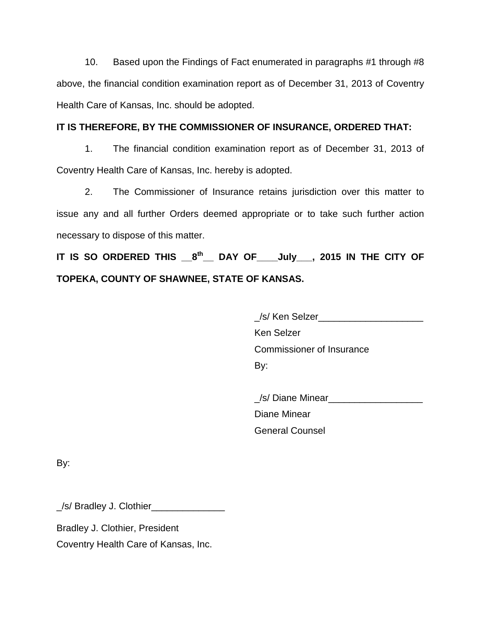10. Based upon the Findings of Fact enumerated in paragraphs #1 through #8 above, the financial condition examination report as of December 31, 2013 of Coventry Health Care of Kansas, Inc. should be adopted.

## **IT IS THEREFORE, BY THE COMMISSIONER OF INSURANCE, ORDERED THAT:**

1. The financial condition examination report as of December 31, 2013 of Coventry Health Care of Kansas, Inc. hereby is adopted.

2. The Commissioner of Insurance retains jurisdiction over this matter to issue any and all further Orders deemed appropriate or to take such further action necessary to dispose of this matter.

**IT IS SO ORDERED THIS \_\_8th\_\_ DAY OF\_\_\_\_July\_\_\_, 2015 IN THE CITY OF TOPEKA, COUNTY OF SHAWNEE, STATE OF KANSAS.**

> \_/s/ Ken Selzer\_\_\_\_\_\_\_\_\_\_\_\_\_\_\_\_\_\_\_\_ Ken Selzer Commissioner of Insurance

By:

/s/ Diane Minear Diane Minear General Counsel

By:

\_/s/ Bradley J. Clothier\_\_\_\_\_\_\_\_\_\_\_\_\_\_

Bradley J. Clothier, President

Coventry Health Care of Kansas, Inc.